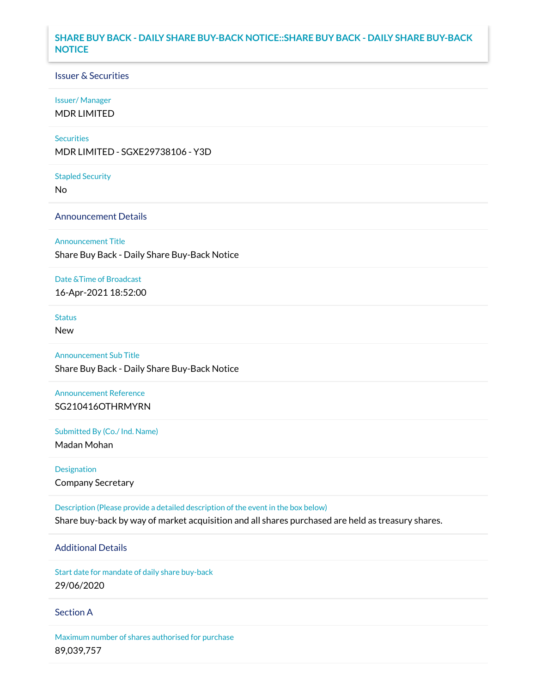## **SHARE BUY BACK - DAILY SHARE BUY-BACK NOTICE::SHARE BUY BACK - DAILY SHARE BUY-BACK NOTICE**

### Issuer & Securities

#### Issuer/ Manager

MDR LIMITED

#### **Securities**

MDR LIMITED - SGXE29738106 - Y3D

#### Stapled Security

No

### Announcement Details

#### Announcement Title

Share Buy Back - Daily Share Buy-Back Notice

#### Date &Time of Broadcast

16-Apr-2021 18:52:00

# **Status**

New

## Announcement Sub Title

Share Buy Back - Daily Share Buy-Back Notice

### Announcement Reference SG210416OTHRMYRN

Submitted By (Co./ Ind. Name)

Madan Mohan

# Designation Company Secretary

Description (Please provide a detailed description of the event in the box below) Share buy-back by way of market acquisition and all shares purchased are held as treasury shares.

## Additional Details

Start date for mandate of daily share buy-back 29/06/2020

### Section A

Maximum number of shares authorised for purchase 89,039,757